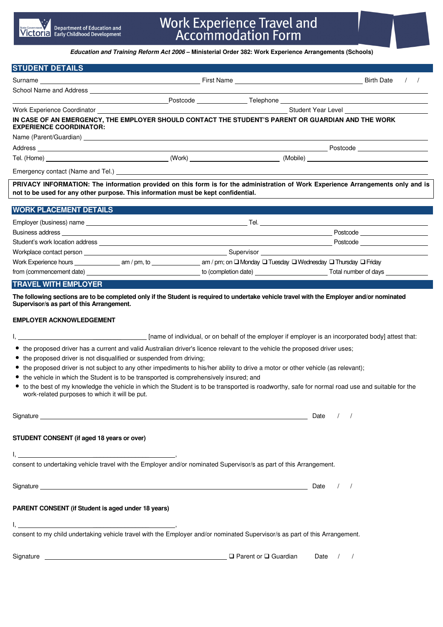

## Work Experience Travel and<br>Accommodation Form

**Education and Training Reform Act 2006 – Ministerial Order 382: Work Experience Arrangements (Schools)**

|                                                                                                                                                                                                |  | Surname Birth Date (1) No. 2 (1) Surname Birth Date (1) No. 2 (1) Surname Birth Date (1) No. 2 (1) No. 2 (1) No. 2 (1) No. 2 (1) No. 2 (1) No. 2 (1) No. 2 (1) No. 2 (1) No. 2 (1) No. 2 (1) No. 2 (1) No. 2 (1) No. 2 (1) No. |
|------------------------------------------------------------------------------------------------------------------------------------------------------------------------------------------------|--|--------------------------------------------------------------------------------------------------------------------------------------------------------------------------------------------------------------------------------|
|                                                                                                                                                                                                |  |                                                                                                                                                                                                                                |
|                                                                                                                                                                                                |  |                                                                                                                                                                                                                                |
|                                                                                                                                                                                                |  |                                                                                                                                                                                                                                |
| IN CASE OF AN EMERGENCY, THE EMPLOYER SHOULD CONTACT THE STUDENT'S PARENT OR GUARDIAN AND THE WORK<br><b>EXPERIENCE COORDINATOR:</b>                                                           |  |                                                                                                                                                                                                                                |
|                                                                                                                                                                                                |  |                                                                                                                                                                                                                                |
|                                                                                                                                                                                                |  |                                                                                                                                                                                                                                |
|                                                                                                                                                                                                |  |                                                                                                                                                                                                                                |
|                                                                                                                                                                                                |  |                                                                                                                                                                                                                                |
|                                                                                                                                                                                                |  | PRIVACY INFORMATION: The information provided on this form is for the administration of Work Experience Arrangements only and is                                                                                               |
|                                                                                                                                                                                                |  |                                                                                                                                                                                                                                |
|                                                                                                                                                                                                |  |                                                                                                                                                                                                                                |
|                                                                                                                                                                                                |  |                                                                                                                                                                                                                                |
|                                                                                                                                                                                                |  |                                                                                                                                                                                                                                |
|                                                                                                                                                                                                |  |                                                                                                                                                                                                                                |
|                                                                                                                                                                                                |  |                                                                                                                                                                                                                                |
|                                                                                                                                                                                                |  |                                                                                                                                                                                                                                |
|                                                                                                                                                                                                |  |                                                                                                                                                                                                                                |
| not to be used for any other purpose. This information must be kept confidential.<br><b>WORK PLACEMENT DETAILS</b><br><b>TRAVEL WITH EMPLOYER</b><br>Supervisor/s as part of this Arrangement. |  | The following sections are to be completed only if the Student is required to undertake vehicle travel with the Employer and/or nominated                                                                                      |

I, \_\_\_\_\_\_\_\_ [name of individual, or on behalf of the employer if employer is an incorporated body] attest that:

• the proposed driver has a current and valid Australian driver's licence relevant to the vehicle the proposed driver uses;

• the proposed driver is not disqualified or suspended from driving;

• the proposed driver is not subject to any other impediments to his/her ability to drive a motor or other vehicle (as relevant);

- the vehicle in which the Student is to be transported is comprehensively insured; and
- to the best of my knowledge the vehicle in which the Student is to be transported is roadworthy, safe for normal road use and suitable for the work-related purposes to which it will be put.

| Signature <u>experimental and the set of the set of the set of the set of the set of the set of the set of the set of the set of the set of the set of the set of the set of the set of the set of the set of the set of the set</u>                                     | Date |  |
|--------------------------------------------------------------------------------------------------------------------------------------------------------------------------------------------------------------------------------------------------------------------------|------|--|
| STUDENT CONSENT (if aged 18 years or over)                                                                                                                                                                                                                               |      |  |
|                                                                                                                                                                                                                                                                          |      |  |
| consent to undertaking vehicle travel with the Employer and/or nominated Supervisor/s as part of this Arrangement.                                                                                                                                                       |      |  |
|                                                                                                                                                                                                                                                                          | Date |  |
| PARENT CONSENT (if Student is aged under 18 years)                                                                                                                                                                                                                       |      |  |
| <u>l, en antico de la contrada de la contrada de la contrada de la contrada de la contrada de la contrada de la c</u>                                                                                                                                                    |      |  |
| consent to my child undertaking vehicle travel with the Employer and/or nominated Supervisor/s as part of this Arrangement.                                                                                                                                              |      |  |
| Signature <b>Second Contract Contract Contract Contract Contract Contract Contract Contract Contract Contract Contract Contract Contract Contract Contract Contract Contract Contract Contract Contract Contract Contract Contra</b><br>$\Box$ Parent or $\Box$ Guardian | Date |  |